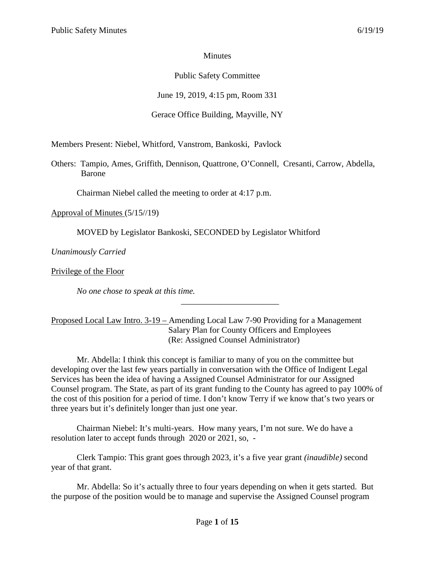## Minutes

## Public Safety Committee

June 19, 2019, 4:15 pm, Room 331

## Gerace Office Building, Mayville, NY

Members Present: Niebel, Whitford, Vanstrom, Bankoski, Pavlock

Others: Tampio, Ames, Griffith, Dennison, Quattrone, O'Connell, Cresanti, Carrow, Abdella, Barone

Chairman Niebel called the meeting to order at 4:17 p.m.

Approval of Minutes (5/15//19)

MOVED by Legislator Bankoski, SECONDED by Legislator Whitford

*Unanimously Carried*

Privilege of the Floor

*No one chose to speak at this time.*

### Proposed Local Law Intro. 3-19 – Amending Local Law 7-90 Providing for a Management Salary Plan for County Officers and Employees (Re: Assigned Counsel Administrator)

Mr. Abdella: I think this concept is familiar to many of you on the committee but developing over the last few years partially in conversation with the Office of Indigent Legal Services has been the idea of having a Assigned Counsel Administrator for our Assigned Counsel program. The State, as part of its grant funding to the County has agreed to pay 100% of the cost of this position for a period of time. I don't know Terry if we know that's two years or three years but it's definitely longer than just one year.

\_\_\_\_\_\_\_\_\_\_\_\_\_\_\_\_\_\_\_\_\_\_\_

Chairman Niebel: It's multi-years. How many years, I'm not sure. We do have a resolution later to accept funds through 2020 or 2021, so, -

Clerk Tampio: This grant goes through 2023, it's a five year grant *(inaudible)* second year of that grant.

Mr. Abdella: So it's actually three to four years depending on when it gets started. But the purpose of the position would be to manage and supervise the Assigned Counsel program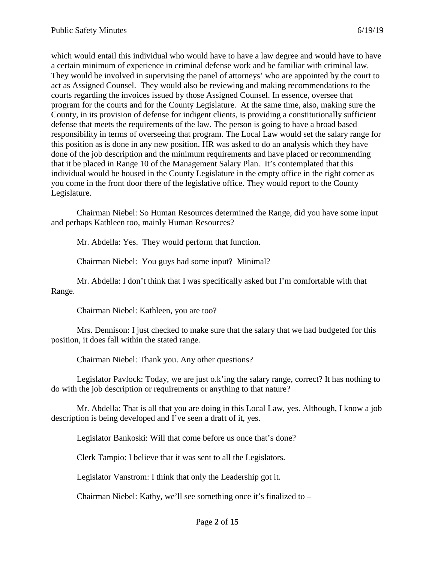which would entail this individual who would have to have a law degree and would have to have a certain minimum of experience in criminal defense work and be familiar with criminal law. They would be involved in supervising the panel of attorneys' who are appointed by the court to act as Assigned Counsel. They would also be reviewing and making recommendations to the courts regarding the invoices issued by those Assigned Counsel. In essence, oversee that program for the courts and for the County Legislature. At the same time, also, making sure the County, in its provision of defense for indigent clients, is providing a constitutionally sufficient defense that meets the requirements of the law. The person is going to have a broad based responsibility in terms of overseeing that program. The Local Law would set the salary range for this position as is done in any new position. HR was asked to do an analysis which they have done of the job description and the minimum requirements and have placed or recommending that it be placed in Range 10 of the Management Salary Plan. It's contemplated that this individual would be housed in the County Legislature in the empty office in the right corner as you come in the front door there of the legislative office. They would report to the County Legislature.

Chairman Niebel: So Human Resources determined the Range, did you have some input and perhaps Kathleen too, mainly Human Resources?

Mr. Abdella: Yes. They would perform that function.

Chairman Niebel: You guys had some input? Minimal?

Mr. Abdella: I don't think that I was specifically asked but I'm comfortable with that Range.

Chairman Niebel: Kathleen, you are too?

Mrs. Dennison: I just checked to make sure that the salary that we had budgeted for this position, it does fall within the stated range.

Chairman Niebel: Thank you. Any other questions?

Legislator Pavlock: Today, we are just o.k'ing the salary range, correct? It has nothing to do with the job description or requirements or anything to that nature?

Mr. Abdella: That is all that you are doing in this Local Law, yes. Although, I know a job description is being developed and I've seen a draft of it, yes.

Legislator Bankoski: Will that come before us once that's done?

Clerk Tampio: I believe that it was sent to all the Legislators.

Legislator Vanstrom: I think that only the Leadership got it.

Chairman Niebel: Kathy, we'll see something once it's finalized to –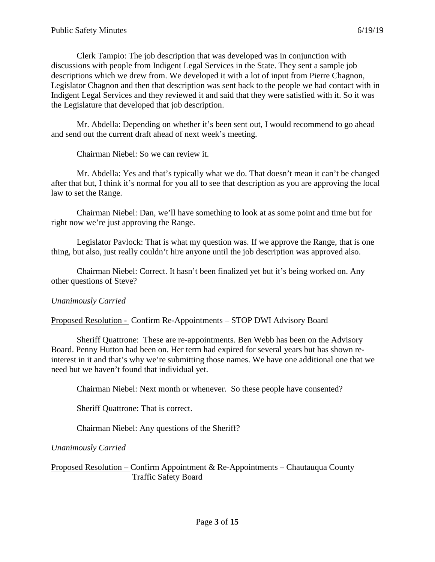Clerk Tampio: The job description that was developed was in conjunction with discussions with people from Indigent Legal Services in the State. They sent a sample job descriptions which we drew from. We developed it with a lot of input from Pierre Chagnon, Legislator Chagnon and then that description was sent back to the people we had contact with in Indigent Legal Services and they reviewed it and said that they were satisfied with it. So it was the Legislature that developed that job description.

Mr. Abdella: Depending on whether it's been sent out, I would recommend to go ahead and send out the current draft ahead of next week's meeting.

Chairman Niebel: So we can review it.

Mr. Abdella: Yes and that's typically what we do. That doesn't mean it can't be changed after that but, I think it's normal for you all to see that description as you are approving the local law to set the Range.

Chairman Niebel: Dan, we'll have something to look at as some point and time but for right now we're just approving the Range.

Legislator Pavlock: That is what my question was. If we approve the Range, that is one thing, but also, just really couldn't hire anyone until the job description was approved also.

Chairman Niebel: Correct. It hasn't been finalized yet but it's being worked on. Any other questions of Steve?

## *Unanimously Carried*

Proposed Resolution - Confirm Re-Appointments – STOP DWI Advisory Board

Sheriff Quattrone: These are re-appointments. Ben Webb has been on the Advisory Board. Penny Hutton had been on. Her term had expired for several years but has shown reinterest in it and that's why we're submitting those names. We have one additional one that we need but we haven't found that individual yet.

Chairman Niebel: Next month or whenever. So these people have consented?

Sheriff Quattrone: That is correct.

Chairman Niebel: Any questions of the Sheriff?

## *Unanimously Carried*

Proposed Resolution – Confirm Appointment & Re-Appointments – Chautauqua County Traffic Safety Board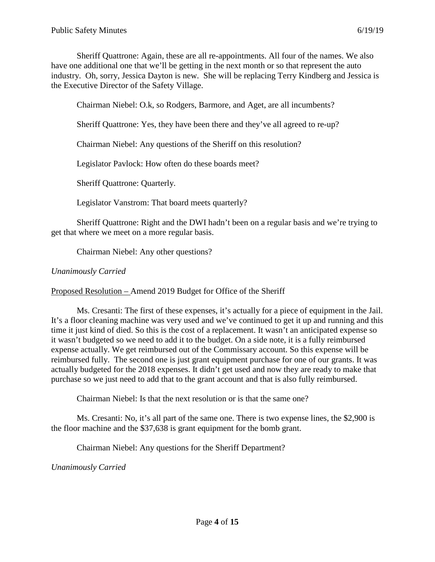Sheriff Quattrone: Again, these are all re-appointments. All four of the names. We also have one additional one that we'll be getting in the next month or so that represent the auto industry. Oh, sorry, Jessica Dayton is new. She will be replacing Terry Kindberg and Jessica is the Executive Director of the Safety Village.

Chairman Niebel: O.k, so Rodgers, Barmore, and Aget, are all incumbents?

Sheriff Quattrone: Yes, they have been there and they've all agreed to re-up?

Chairman Niebel: Any questions of the Sheriff on this resolution?

Legislator Pavlock: How often do these boards meet?

Sheriff Quattrone: Quarterly.

Legislator Vanstrom: That board meets quarterly?

Sheriff Quattrone: Right and the DWI hadn't been on a regular basis and we're trying to get that where we meet on a more regular basis.

Chairman Niebel: Any other questions?

*Unanimously Carried*

Proposed Resolution – Amend 2019 Budget for Office of the Sheriff

Ms. Cresanti: The first of these expenses, it's actually for a piece of equipment in the Jail. It's a floor cleaning machine was very used and we've continued to get it up and running and this time it just kind of died. So this is the cost of a replacement. It wasn't an anticipated expense so it wasn't budgeted so we need to add it to the budget. On a side note, it is a fully reimbursed expense actually. We get reimbursed out of the Commissary account. So this expense will be reimbursed fully. The second one is just grant equipment purchase for one of our grants. It was actually budgeted for the 2018 expenses. It didn't get used and now they are ready to make that purchase so we just need to add that to the grant account and that is also fully reimbursed.

Chairman Niebel: Is that the next resolution or is that the same one?

Ms. Cresanti: No, it's all part of the same one. There is two expense lines, the \$2,900 is the floor machine and the \$37,638 is grant equipment for the bomb grant.

Chairman Niebel: Any questions for the Sheriff Department?

*Unanimously Carried*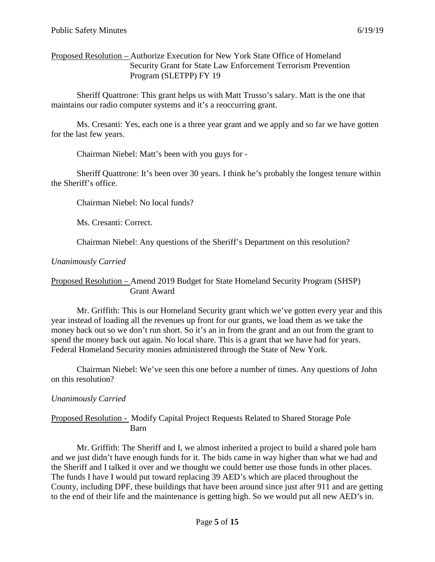Proposed Resolution – Authorize Execution for New York State Office of Homeland Security Grant for State Law Enforcement Terrorism Prevention Program (SLETPP) FY 19

Sheriff Quattrone: This grant helps us with Matt Trusso's salary. Matt is the one that maintains our radio computer systems and it's a reoccurring grant.

Ms. Cresanti: Yes, each one is a three year grant and we apply and so far we have gotten for the last few years.

Chairman Niebel: Matt's been with you guys for -

Sheriff Quattrone: It's been over 30 years. I think he's probably the longest tenure within the Sheriff's office.

Chairman Niebel: No local funds?

Ms. Cresanti: Correct.

Chairman Niebel: Any questions of the Sheriff's Department on this resolution?

### *Unanimously Carried*

### Proposed Resolution – Amend 2019 Budget for State Homeland Security Program (SHSP) Grant Award

Mr. Griffith: This is our Homeland Security grant which we've gotten every year and this year instead of loading all the revenues up front for our grants, we load them as we take the money back out so we don't run short. So it's an in from the grant and an out from the grant to spend the money back out again. No local share. This is a grant that we have had for years. Federal Homeland Security monies administered through the State of New York.

Chairman Niebel: We've seen this one before a number of times. Any questions of John on this resolution?

## *Unanimously Carried*

### Proposed Resolution - Modify Capital Project Requests Related to Shared Storage Pole Barn

Mr. Griffith: The Sheriff and I, we almost inherited a project to build a shared pole barn and we just didn't have enough funds for it. The bids came in way higher than what we had and the Sheriff and I talked it over and we thought we could better use those funds in other places. The funds I have I would put toward replacing 39 AED's which are placed throughout the County, including DPF, these buildings that have been around since just after 911 and are getting to the end of their life and the maintenance is getting high. So we would put all new AED's in.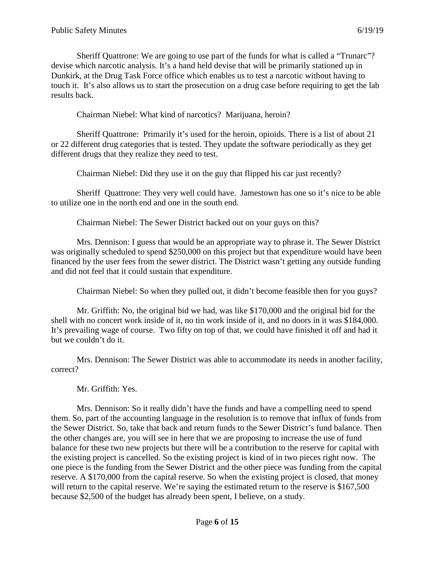Sheriff Quattrone: We are going to use part of the funds for what is called a "Trunarc"? devise which narcotic analysis. It's a hand held devise that will be primarily stationed up in Dunkirk, at the Drug Task Force office which enables us to test a narcotic without having to touch it. It's also allows us to start the prosecution on a drug case before requiring to get the lab results back.

Chairman Niebel: What kind of narcotics? Marijuana, heroin?

Sheriff Quattrone: Primarily it's used for the heroin, opioids. There is a list of about 21 or 22 different drug categories that is tested. They update the software periodically as they get different drugs that they realize they need to test.

Chairman Niebel: Did they use it on the guy that flipped his car just recently?

Sheriff Quattrone: They very well could have. Jamestown has one so it's nice to be able to utilize one in the north end and one in the south end.

Chairman Niebel: The Sewer District backed out on your guys on this?

Mrs. Dennison: I guess that would be an appropriate way to phrase it. The Sewer District was originally scheduled to spend \$250,000 on this project but that expenditure would have been financed by the user fees from the sewer district. The District wasn't getting any outside funding and did not feel that it could sustain that expenditure.

Chairman Niebel: So when they pulled out, it didn't become feasible then for you guys?

Mr. Griffith: No, the original bid we had, was like \$170,000 and the original bid for the shell with no concert work inside of it, no tin work inside of it, and no doors in it was \$184,000. It's prevailing wage of course. Two fifty on top of that, we could have finished it off and had it but we couldn't do it.

Mrs. Dennison: The Sewer District was able to accommodate its needs in another facility, correct?

Mr. Griffith: Yes.

Mrs. Dennison: So it really didn't have the funds and have a compelling need to spend them. So, part of the accounting language in the resolution is to remove that influx of funds from the Sewer District. So, take that back and return funds to the Sewer District's fund balance. Then the other changes are, you will see in here that we are proposing to increase the use of fund balance for these two new projects but there will be a contribution to the reserve for capital with the existing project is cancelled. So the existing project is kind of in two pieces right now. The one piece is the funding from the Sewer District and the other piece was funding from the capital reserve. A \$170,000 from the capital reserve. So when the existing project is closed, that money will return to the capital reserve. We're saying the estimated return to the reserve is \$167,500 because \$2,500 of the budget has already been spent, I believe, on a study.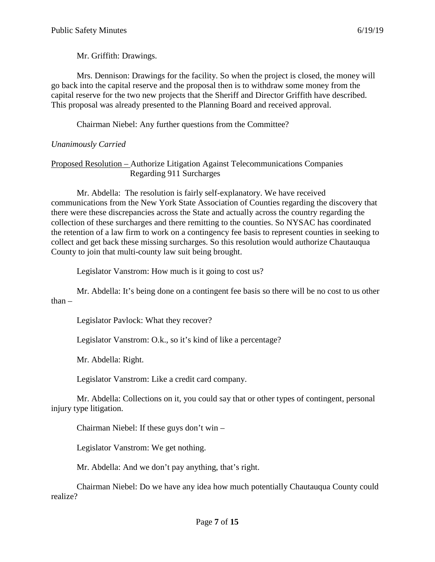Mr. Griffith: Drawings.

Mrs. Dennison: Drawings for the facility. So when the project is closed, the money will go back into the capital reserve and the proposal then is to withdraw some money from the capital reserve for the two new projects that the Sheriff and Director Griffith have described. This proposal was already presented to the Planning Board and received approval.

Chairman Niebel: Any further questions from the Committee?

# *Unanimously Carried*

### Proposed Resolution – Authorize Litigation Against Telecommunications Companies Regarding 911 Surcharges

Mr. Abdella: The resolution is fairly self-explanatory. We have received communications from the New York State Association of Counties regarding the discovery that there were these discrepancies across the State and actually across the country regarding the collection of these surcharges and there remitting to the counties. So NYSAC has coordinated the retention of a law firm to work on a contingency fee basis to represent counties in seeking to collect and get back these missing surcharges. So this resolution would authorize Chautauqua County to join that multi-county law suit being brought.

Legislator Vanstrom: How much is it going to cost us?

Mr. Abdella: It's being done on a contingent fee basis so there will be no cost to us other than –

Legislator Pavlock: What they recover?

Legislator Vanstrom: O.k., so it's kind of like a percentage?

Mr. Abdella: Right.

Legislator Vanstrom: Like a credit card company.

Mr. Abdella: Collections on it, you could say that or other types of contingent, personal injury type litigation.

Chairman Niebel: If these guys don't win –

Legislator Vanstrom: We get nothing.

Mr. Abdella: And we don't pay anything, that's right.

Chairman Niebel: Do we have any idea how much potentially Chautauqua County could realize?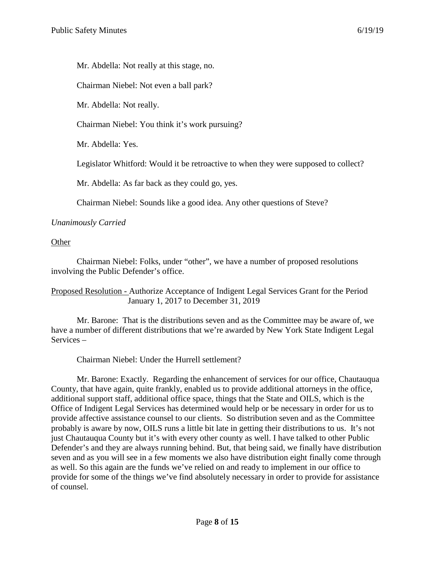Mr. Abdella: Not really at this stage, no.

Chairman Niebel: Not even a ball park?

Mr. Abdella: Not really.

Chairman Niebel: You think it's work pursuing?

Mr. Abdella: Yes.

Legislator Whitford: Would it be retroactive to when they were supposed to collect?

Mr. Abdella: As far back as they could go, yes.

Chairman Niebel: Sounds like a good idea. Any other questions of Steve?

*Unanimously Carried*

**Other** 

Chairman Niebel: Folks, under "other", we have a number of proposed resolutions involving the Public Defender's office.

Proposed Resolution - Authorize Acceptance of Indigent Legal Services Grant for the Period January 1, 2017 to December 31, 2019

Mr. Barone: That is the distributions seven and as the Committee may be aware of, we have a number of different distributions that we're awarded by New York State Indigent Legal Services –

Chairman Niebel: Under the Hurrell settlement?

Mr. Barone: Exactly. Regarding the enhancement of services for our office, Chautauqua County, that have again, quite frankly, enabled us to provide additional attorneys in the office, additional support staff, additional office space, things that the State and OILS, which is the Office of Indigent Legal Services has determined would help or be necessary in order for us to provide affective assistance counsel to our clients. So distribution seven and as the Committee probably is aware by now, OILS runs a little bit late in getting their distributions to us. It's not just Chautauqua County but it's with every other county as well. I have talked to other Public Defender's and they are always running behind. But, that being said, we finally have distribution seven and as you will see in a few moments we also have distribution eight finally come through as well. So this again are the funds we've relied on and ready to implement in our office to provide for some of the things we've find absolutely necessary in order to provide for assistance of counsel.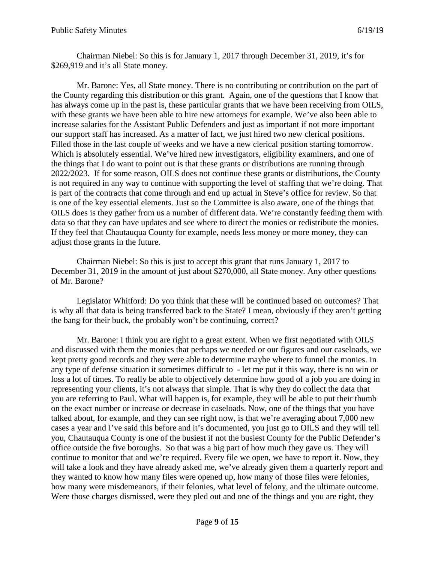Chairman Niebel: So this is for January 1, 2017 through December 31, 2019, it's for \$269,919 and it's all State money.

Mr. Barone: Yes, all State money. There is no contributing or contribution on the part of the County regarding this distribution or this grant. Again, one of the questions that I know that has always come up in the past is, these particular grants that we have been receiving from OILS, with these grants we have been able to hire new attorneys for example. We've also been able to increase salaries for the Assistant Public Defenders and just as important if not more important our support staff has increased. As a matter of fact, we just hired two new clerical positions. Filled those in the last couple of weeks and we have a new clerical position starting tomorrow. Which is absolutely essential. We've hired new investigators, eligibility examiners, and one of the things that I do want to point out is that these grants or distributions are running through 2022/2023. If for some reason, OILS does not continue these grants or distributions, the County is not required in any way to continue with supporting the level of staffing that we're doing. That is part of the contracts that come through and end up actual in Steve's office for review. So that is one of the key essential elements. Just so the Committee is also aware, one of the things that OILS does is they gather from us a number of different data. We're constantly feeding them with data so that they can have updates and see where to direct the monies or redistribute the monies. If they feel that Chautauqua County for example, needs less money or more money, they can adjust those grants in the future.

Chairman Niebel: So this is just to accept this grant that runs January 1, 2017 to December 31, 2019 in the amount of just about \$270,000, all State money. Any other questions of Mr. Barone?

Legislator Whitford: Do you think that these will be continued based on outcomes? That is why all that data is being transferred back to the State? I mean, obviously if they aren't getting the bang for their buck, the probably won't be continuing, correct?

Mr. Barone: I think you are right to a great extent. When we first negotiated with OILS and discussed with them the monies that perhaps we needed or our figures and our caseloads, we kept pretty good records and they were able to determine maybe where to funnel the monies. In any type of defense situation it sometimes difficult to - let me put it this way, there is no win or loss a lot of times. To really be able to objectively determine how good of a job you are doing in representing your clients, it's not always that simple. That is why they do collect the data that you are referring to Paul. What will happen is, for example, they will be able to put their thumb on the exact number or increase or decrease in caseloads. Now, one of the things that you have talked about, for example, and they can see right now, is that we're averaging about 7,000 new cases a year and I've said this before and it's documented, you just go to OILS and they will tell you, Chautauqua County is one of the busiest if not the busiest County for the Public Defender's office outside the five boroughs. So that was a big part of how much they gave us. They will continue to monitor that and we're required. Every file we open, we have to report it. Now, they will take a look and they have already asked me, we've already given them a quarterly report and they wanted to know how many files were opened up, how many of those files were felonies, how many were misdemeanors, if their felonies, what level of felony, and the ultimate outcome. Were those charges dismissed, were they pled out and one of the things and you are right, they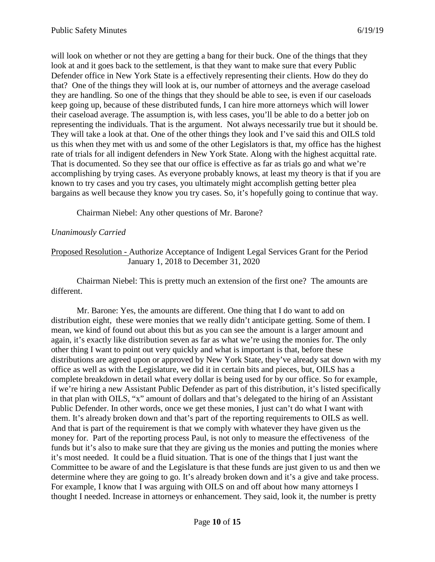will look on whether or not they are getting a bang for their buck. One of the things that they look at and it goes back to the settlement, is that they want to make sure that every Public Defender office in New York State is a effectively representing their clients. How do they do that? One of the things they will look at is, our number of attorneys and the average caseload they are handling. So one of the things that they should be able to see, is even if our caseloads keep going up, because of these distributed funds, I can hire more attorneys which will lower their caseload average. The assumption is, with less cases, you'll be able to do a better job on representing the individuals. That is the argument. Not always necessarily true but it should be. They will take a look at that. One of the other things they look and I've said this and OILS told us this when they met with us and some of the other Legislators is that, my office has the highest rate of trials for all indigent defenders in New York State. Along with the highest acquittal rate. That is documented. So they see that our office is effective as far as trials go and what we're accomplishing by trying cases. As everyone probably knows, at least my theory is that if you are known to try cases and you try cases, you ultimately might accomplish getting better plea bargains as well because they know you try cases. So, it's hopefully going to continue that way.

Chairman Niebel: Any other questions of Mr. Barone?

#### *Unanimously Carried*

#### Proposed Resolution - Authorize Acceptance of Indigent Legal Services Grant for the Period January 1, 2018 to December 31, 2020

Chairman Niebel: This is pretty much an extension of the first one? The amounts are different.

Mr. Barone: Yes, the amounts are different. One thing that I do want to add on distribution eight, these were monies that we really didn't anticipate getting. Some of them. I mean, we kind of found out about this but as you can see the amount is a larger amount and again, it's exactly like distribution seven as far as what we're using the monies for. The only other thing I want to point out very quickly and what is important is that, before these distributions are agreed upon or approved by New York State, they've already sat down with my office as well as with the Legislature, we did it in certain bits and pieces, but, OILS has a complete breakdown in detail what every dollar is being used for by our office. So for example, if we're hiring a new Assistant Public Defender as part of this distribution, it's listed specifically in that plan with OILS, "x" amount of dollars and that's delegated to the hiring of an Assistant Public Defender. In other words, once we get these monies, I just can't do what I want with them. It's already broken down and that's part of the reporting requirements to OILS as well. And that is part of the requirement is that we comply with whatever they have given us the money for. Part of the reporting process Paul, is not only to measure the effectiveness of the funds but it's also to make sure that they are giving us the monies and putting the monies where it's most needed. It could be a fluid situation. That is one of the things that I just want the Committee to be aware of and the Legislature is that these funds are just given to us and then we determine where they are going to go. It's already broken down and it's a give and take process. For example, I know that I was arguing with OILS on and off about how many attorneys I thought I needed. Increase in attorneys or enhancement. They said, look it, the number is pretty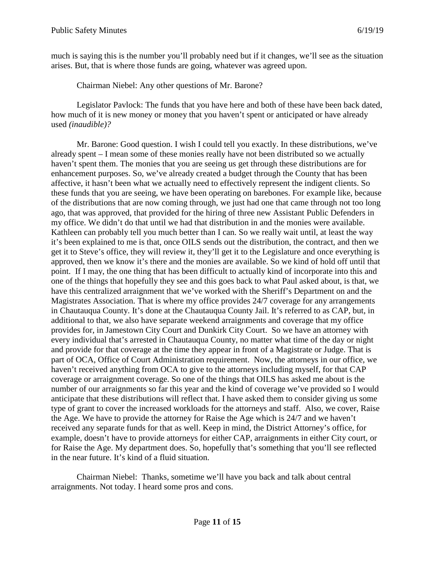much is saying this is the number you'll probably need but if it changes, we'll see as the situation arises. But, that is where those funds are going, whatever was agreed upon.

Chairman Niebel: Any other questions of Mr. Barone?

Legislator Pavlock: The funds that you have here and both of these have been back dated, how much of it is new money or money that you haven't spent or anticipated or have already used *(inaudible)?*

Mr. Barone: Good question. I wish I could tell you exactly. In these distributions, we've already spent – I mean some of these monies really have not been distributed so we actually haven't spent them. The monies that you are seeing us get through these distributions are for enhancement purposes. So, we've already created a budget through the County that has been affective, it hasn't been what we actually need to effectively represent the indigent clients. So these funds that you are seeing, we have been operating on barebones. For example like, because of the distributions that are now coming through, we just had one that came through not too long ago, that was approved, that provided for the hiring of three new Assistant Public Defenders in my office. We didn't do that until we had that distribution in and the monies were available. Kathleen can probably tell you much better than I can. So we really wait until, at least the way it's been explained to me is that, once OILS sends out the distribution, the contract, and then we get it to Steve's office, they will review it, they'll get it to the Legislature and once everything is approved, then we know it's there and the monies are available. So we kind of hold off until that point. If I may, the one thing that has been difficult to actually kind of incorporate into this and one of the things that hopefully they see and this goes back to what Paul asked about, is that, we have this centralized arraignment that we've worked with the Sheriff's Department on and the Magistrates Association. That is where my office provides 24/7 coverage for any arrangements in Chautauqua County. It's done at the Chautauqua County Jail. It's referred to as CAP, but, in additional to that, we also have separate weekend arraignments and coverage that my office provides for, in Jamestown City Court and Dunkirk City Court. So we have an attorney with every individual that's arrested in Chautauqua County, no matter what time of the day or night and provide for that coverage at the time they appear in front of a Magistrate or Judge. That is part of OCA, Office of Court Administration requirement. Now, the attorneys in our office, we haven't received anything from OCA to give to the attorneys including myself, for that CAP coverage or arraignment coverage. So one of the things that OILS has asked me about is the number of our arraignments so far this year and the kind of coverage we've provided so I would anticipate that these distributions will reflect that. I have asked them to consider giving us some type of grant to cover the increased workloads for the attorneys and staff. Also, we cover, Raise the Age. We have to provide the attorney for Raise the Age which is 24/7 and we haven't received any separate funds for that as well. Keep in mind, the District Attorney's office, for example, doesn't have to provide attorneys for either CAP, arraignments in either City court, or for Raise the Age. My department does. So, hopefully that's something that you'll see reflected in the near future. It's kind of a fluid situation.

Chairman Niebel: Thanks, sometime we'll have you back and talk about central arraignments. Not today. I heard some pros and cons.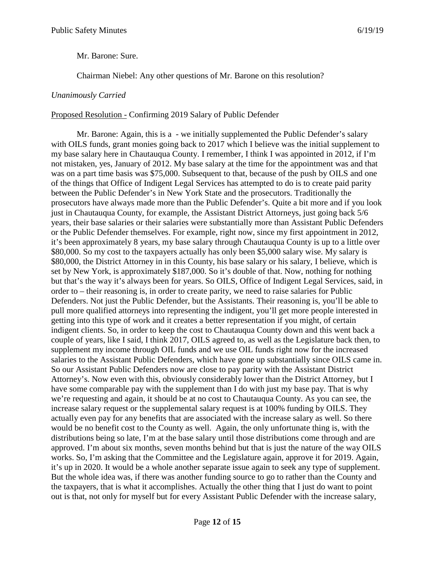Mr. Barone: Sure.

Chairman Niebel: Any other questions of Mr. Barone on this resolution?

#### *Unanimously Carried*

#### Proposed Resolution - Confirming 2019 Salary of Public Defender

Mr. Barone: Again, this is a - we initially supplemented the Public Defender's salary with OILS funds, grant monies going back to 2017 which I believe was the initial supplement to my base salary here in Chautauqua County. I remember, I think I was appointed in 2012, if I'm not mistaken, yes, January of 2012. My base salary at the time for the appointment was and that was on a part time basis was \$75,000. Subsequent to that, because of the push by OILS and one of the things that Office of Indigent Legal Services has attempted to do is to create paid parity between the Public Defender's in New York State and the prosecutors. Traditionally the prosecutors have always made more than the Public Defender's. Quite a bit more and if you look just in Chautauqua County, for example, the Assistant District Attorneys, just going back 5/6 years, their base salaries or their salaries were substantially more than Assistant Public Defenders or the Public Defender themselves. For example, right now, since my first appointment in 2012, it's been approximately 8 years, my base salary through Chautauqua County is up to a little over \$80,000. So my cost to the taxpayers actually has only been \$5,000 salary wise. My salary is \$80,000, the District Attorney in in this County, his base salary or his salary, I believe, which is set by New York, is approximately \$187,000. So it's double of that. Now, nothing for nothing but that's the way it's always been for years. So OILS, Office of Indigent Legal Services, said, in order to – their reasoning is, in order to create parity, we need to raise salaries for Public Defenders. Not just the Public Defender, but the Assistants. Their reasoning is, you'll be able to pull more qualified attorneys into representing the indigent, you'll get more people interested in getting into this type of work and it creates a better representation if you might, of certain indigent clients. So, in order to keep the cost to Chautauqua County down and this went back a couple of years, like I said, I think 2017, OILS agreed to, as well as the Legislature back then, to supplement my income through OIL funds and we use OIL funds right now for the increased salaries to the Assistant Public Defenders, which have gone up substantially since OILS came in. So our Assistant Public Defenders now are close to pay parity with the Assistant District Attorney's. Now even with this, obviously considerably lower than the District Attorney, but I have some comparable pay with the supplement than I do with just my base pay. That is why we're requesting and again, it should be at no cost to Chautauqua County. As you can see, the increase salary request or the supplemental salary request is at 100% funding by OILS. They actually even pay for any benefits that are associated with the increase salary as well. So there would be no benefit cost to the County as well. Again, the only unfortunate thing is, with the distributions being so late, I'm at the base salary until those distributions come through and are approved. I'm about six months, seven months behind but that is just the nature of the way OILS works. So, I'm asking that the Committee and the Legislature again, approve it for 2019. Again, it's up in 2020. It would be a whole another separate issue again to seek any type of supplement. But the whole idea was, if there was another funding source to go to rather than the County and the taxpayers, that is what it accomplishes. Actually the other thing that I just do want to point out is that, not only for myself but for every Assistant Public Defender with the increase salary,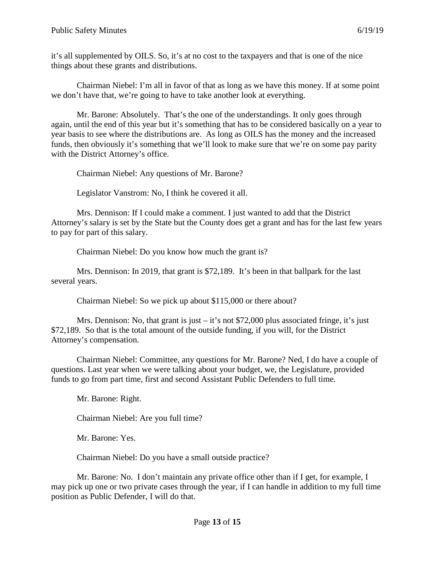it's all supplemented by OILS. So, it's at no cost to the taxpayers and that is one of the nice things about these grants and distributions.

Chairman Niebel: I'm all in favor of that as long as we have this money. If at some point we don't have that, we're going to have to take another look at everything.

Mr. Barone: Absolutely. That's the one of the understandings. It only goes through again, until the end of this year but it's something that has to be considered basically on a year to year basis to see where the distributions are. As long as OILS has the money and the increased funds, then obviously it's something that we'll look to make sure that we're on some pay parity with the District Attorney's office.

Chairman Niebel: Any questions of Mr. Barone?

Legislator Vanstrom: No, I think he covered it all.

Mrs. Dennison: If I could make a comment. I just wanted to add that the District Attorney's salary is set by the State but the County does get a grant and has for the last few years to pay for part of this salary.

Chairman Niebel: Do you know how much the grant is?

Mrs. Dennison: In 2019, that grant is \$72,189. It's been in that ballpark for the last several years.

Chairman Niebel: So we pick up about \$115,000 or there about?

Mrs. Dennison: No, that grant is just – it's not \$72,000 plus associated fringe, it's just \$72,189. So that is the total amount of the outside funding, if you will, for the District Attorney's compensation.

Chairman Niebel: Committee, any questions for Mr. Barone? Ned, I do have a couple of questions. Last year when we were talking about your budget, we, the Legislature, provided funds to go from part time, first and second Assistant Public Defenders to full time.

Mr. Barone: Right.

Chairman Niebel: Are you full time?

Mr. Barone: Yes.

Chairman Niebel: Do you have a small outside practice?

Mr. Barone: No. I don't maintain any private office other than if I get, for example, I may pick up one or two private cases through the year, if I can handle in addition to my full time position as Public Defender, I will do that.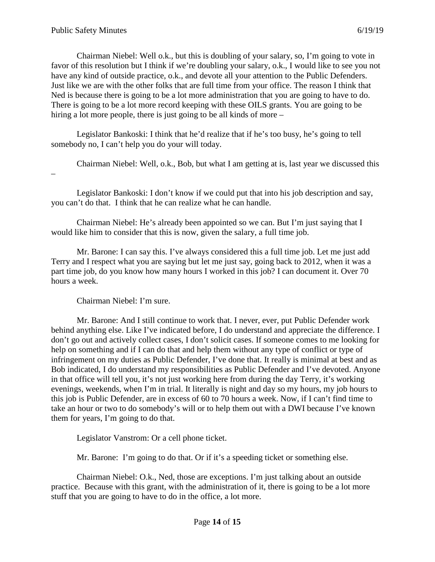Chairman Niebel: Well o.k., but this is doubling of your salary, so, I'm going to vote in favor of this resolution but I think if we're doubling your salary, o.k., I would like to see you not have any kind of outside practice, o.k., and devote all your attention to the Public Defenders. Just like we are with the other folks that are full time from your office. The reason I think that Ned is because there is going to be a lot more administration that you are going to have to do. There is going to be a lot more record keeping with these OILS grants. You are going to be hiring a lot more people, there is just going to be all kinds of more –

Legislator Bankoski: I think that he'd realize that if he's too busy, he's going to tell somebody no, I can't help you do your will today.

Chairman Niebel: Well, o.k., Bob, but what I am getting at is, last year we discussed this –

Legislator Bankoski: I don't know if we could put that into his job description and say, you can't do that. I think that he can realize what he can handle.

Chairman Niebel: He's already been appointed so we can. But I'm just saying that I would like him to consider that this is now, given the salary, a full time job.

Mr. Barone: I can say this. I've always considered this a full time job. Let me just add Terry and I respect what you are saying but let me just say, going back to 2012, when it was a part time job, do you know how many hours I worked in this job? I can document it. Over 70 hours a week.

Chairman Niebel: I'm sure.

Mr. Barone: And I still continue to work that. I never, ever, put Public Defender work behind anything else. Like I've indicated before, I do understand and appreciate the difference. I don't go out and actively collect cases, I don't solicit cases. If someone comes to me looking for help on something and if I can do that and help them without any type of conflict or type of infringement on my duties as Public Defender, I've done that. It really is minimal at best and as Bob indicated, I do understand my responsibilities as Public Defender and I've devoted. Anyone in that office will tell you, it's not just working here from during the day Terry, it's working evenings, weekends, when I'm in trial. It literally is night and day so my hours, my job hours to this job is Public Defender, are in excess of 60 to 70 hours a week. Now, if I can't find time to take an hour or two to do somebody's will or to help them out with a DWI because I've known them for years, I'm going to do that.

Legislator Vanstrom: Or a cell phone ticket.

Mr. Barone: I'm going to do that. Or if it's a speeding ticket or something else.

Chairman Niebel: O.k., Ned, those are exceptions. I'm just talking about an outside practice. Because with this grant, with the administration of it, there is going to be a lot more stuff that you are going to have to do in the office, a lot more.